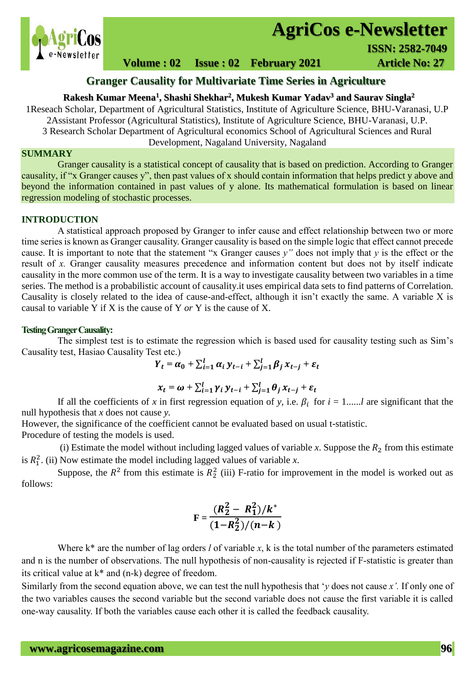

# **AgriCos e-Newsletter**

 **ISSN: 2582-7049**<br>  **ISSN: 2582-7049** 

**Volume : 02 Issue : 02 February 2021 4rticle No: 27** 

## **Granger Causality for Multivariate Time Series in Agriculture**

#### **Rakesh Kumar Meena<sup>1</sup> , Shashi Shekhar<sup>2</sup> , Mukesh Kumar Yadav<sup>3</sup> and Saurav Singla<sup>2</sup>**

1Reseach Scholar, Department of Agricultural Statistics, Institute of Agriculture Science, BHU-Varanasi, U.P 2Assistant Professor (Agricultural Statistics), Institute of Agriculture Science, BHU-Varanasi, U.P. 3 Research Scholar Department of Agricultural economics School of Agricultural Sciences and Rural

Development, Nagaland University, Nagaland

### **SUMMARY**

 Granger causality is a statistical concept of causality that is based on prediction. According to Granger causality, if "x Granger causes y", then past values of x should contain information that helps predict y above and beyond the information contained in past values of y alone. Its mathematical formulation is based on linear regression modeling of stochastic processes.

#### **INTRODUCTION**

A statistical approach proposed by Granger to infer cause and effect relationship between two or more time series is known as Granger causality. Granger causality is based on the simple logic that effect cannot precede cause. It is important to note that the statement "x Granger causes *y"* does not imply that *y* is the effect or the result of *x.* Granger causality measures precedence and information content but does not by itself indicate causality in the more common use of the term. It is a way to investigate causality between two variables in a time series. The method is a probabilistic account of causality.it uses empirical data sets to find patterns of Correlation. Causality is closely related to the idea of cause-and-effect, although it isn't exactly the same. A variable X is causal to variable Y if X is the cause of Y *or* Y is the cause of X.

#### **Testing Granger Causality:**

The simplest test is to estimate the regression which is based used for causality testing such as Sim's Causality test, Hasiao Causality Test etc.)

 $Y_t = \alpha_0 + \sum_{i=1}^l \alpha_i y_{t-i} + \sum_{j=1}^l \beta_j x_{t-j} + \varepsilon_t$ 

$$
x_t = \omega + \sum_{i=1}^l \gamma_i y_{t-i} + \sum_{j=1}^l \theta_j x_{t-j} + \varepsilon_t
$$

If all the coefficients of *x* in first regression equation of *y*, i.e.  $\beta_i$  for  $i = 1, \dots, l$  are significant that the null hypothesis that *x* does not cause *y.* 

However, the significance of the coefficient cannot be evaluated based on usual t-statistic.

Procedure of testing the models is used.

(i) Estimate the model without including lagged values of variable  $x$ . Suppose the  $R_2$  from this estimate is  $R_1^2$ . (ii) Now estimate the model including lagged values of variable *x*.

Suppose, the  $R^2$  from this estimate is  $R_2^2$  (iii) F-ratio for improvement in the model is worked out as follows:

$$
F = \frac{(R_2^2 - R_1^2)/k^*}{(1 - R_2^2)/(n - k)}
$$

Where k<sup>\*</sup> are the number of lag orders *l* of variable *x*, k is the total number of the parameters estimated and n is the number of observations. The null hypothesis of non-causality is rejected if F-statistic is greater than its critical value at k\* and (n-k) degree of freedom.

Similarly from the second equation above, we can test the null hypothesis that '*y* does not cause *x'.* If only one of the two variables causes the second variable but the second variable does not cause the first variable it is called one-way causality. If both the variables cause each other it is called the feedback causality.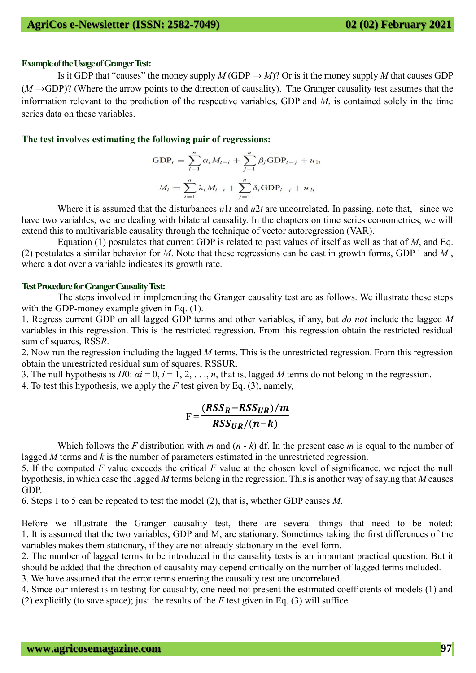#### **Example of the Usage of Granger Test:**

Is it GDP that "causes" the money supply *M* (GDP  $\rightarrow$  *M*)? Or is it the money supply *M* that causes GDP  $(M \rightarrow GDP)$ ? (Where the arrow points to the direction of causality). The Granger causality test assumes that the information relevant to the prediction of the respective variables, GDP and *M*, is contained solely in the time series data on these variables.

#### **The test involves estimating the following pair of regressions:**

$$
GDP_{t} = \sum_{i=1}^{n} \alpha_{i} M_{t-i} + \sum_{j=1}^{n} \beta_{j} GDP_{t-j} + u_{1t}
$$

$$
M_{t} = \sum_{i=1}^{n} \lambda_{i} M_{t-i} + \sum_{j=1}^{n} \delta_{j} GDP_{t-j} + u_{2t}
$$

Where it is assumed that the disturbances  $u_1t$  and  $u_2t$  are uncorrelated. In passing, note that, since we have two variables, we are dealing with bilateral causality. In the chapters on time series econometrics, we will extend this to multivariable causality through the technique of vector autoregression (VAR).

Equation (1) postulates that current GDP is related to past values of itself as well as that of *M*, and Eq. (2) postulates a similar behavior for *M*. Note that these regressions can be cast in growth forms, GDP ˙ and *M* , where a dot over a variable indicates its growth rate.

#### **Test Procedure for Granger Causality Test:**

The steps involved in implementing the Granger causality test are as follows. We illustrate these steps with the GDP-money example given in Eq.  $(1)$ .

1. Regress current GDP on all lagged GDP terms and other variables, if any, but *do not* include the lagged *M*  variables in this regression. This is the restricted regression. From this regression obtain the restricted residual sum of squares, RSS*R*.

2. Now run the regression including the lagged *M* terms. This is the unrestricted regression. From this regression obtain the unrestricted residual sum of squares, RSSUR.

3. The null hypothesis is  $H0: \alpha i = 0, i = 1, 2, \ldots, n$ , that is, lagged M terms do not belong in the regression.

4. To test this hypothesis, we apply the *F* test given by Eq. (3), namely,

$$
F = \frac{(RSS_R - RSS_{UR})/m}{RSS_{UR}/(n-k)}
$$

Which follows the *F* distribution with *m* and  $(n - k)$  df. In the present case *m* is equal to the number of lagged *M* terms and *k* is the number of parameters estimated in the unrestricted regression.

5. If the computed *F* value exceeds the critical *F* value at the chosen level of significance, we reject the null hypothesis, in which case the lagged *M* terms belong in the regression. This is another way of saying that *M* causes GDP.

6. Steps 1 to 5 can be repeated to test the model (2), that is, whether GDP causes *M*.

Before we illustrate the Granger causality test, there are several things that need to be noted: 1. It is assumed that the two variables, GDP and M, are stationary. Sometimes taking the first differences of the variables makes them stationary, if they are not already stationary in the level form.

2. The number of lagged terms to be introduced in the causality tests is an important practical question. But it should be added that the direction of causality may depend critically on the number of lagged terms included.

3. We have assumed that the error terms entering the causality test are uncorrelated.

4. Since our interest is in testing for causality, one need not present the estimated coefficients of models (1) and (2) explicitly (to save space); just the results of the *F* test given in Eq. (3) will suffice.